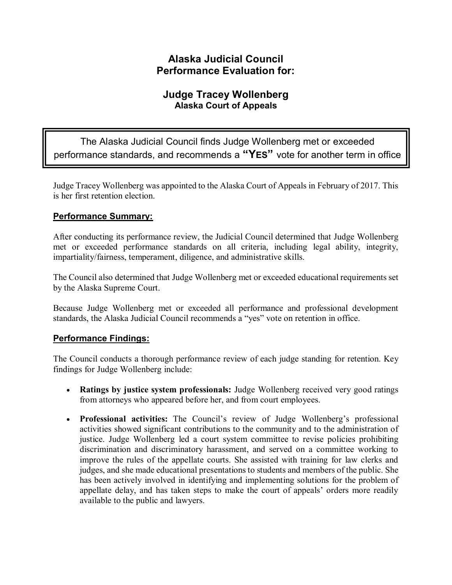## **Alaska Judicial Council Performance Evaluation for:**

## **Judge Tracey Wollenberg Alaska Court of Appeals**

The Alaska Judicial Council finds Judge Wollenberg met or exceeded performance standards, and recommends a **"YES"** vote for another term in office

Judge Tracey Wollenberg was appointed to the Alaska Court of Appeals in February of 2017. This is her first retention election.

## **Performance Summary:**

After conducting its performance review, the Judicial Council determined that Judge Wollenberg met or exceeded performance standards on all criteria, including legal ability, integrity, impartiality/fairness, temperament, diligence, and administrative skills.

The Council also determined that Judge Wollenberg met or exceeded educational requirements set by the Alaska Supreme Court.

Because Judge Wollenberg met or exceeded all performance and professional development standards, the Alaska Judicial Council recommends a "yes" vote on retention in office.

## **Performance Findings:**

The Council conducts a thorough performance review of each judge standing for retention. Key findings for Judge Wollenberg include:

- **Ratings by justice system professionals:** Judge Wollenberg received very good ratings from attorneys who appeared before her, and from court employees.
- **Professional activities:** The Council's review of Judge Wollenberg's professional activities showed significant contributions to the community and to the administration of justice. Judge Wollenberg led a court system committee to revise policies prohibiting discrimination and discriminatory harassment, and served on a committee working to improve the rules of the appellate courts. She assisted with training for law clerks and judges, and she made educational presentations to students and members of the public. She has been actively involved in identifying and implementing solutions for the problem of appellate delay, and has taken steps to make the court of appeals' orders more readily available to the public and lawyers.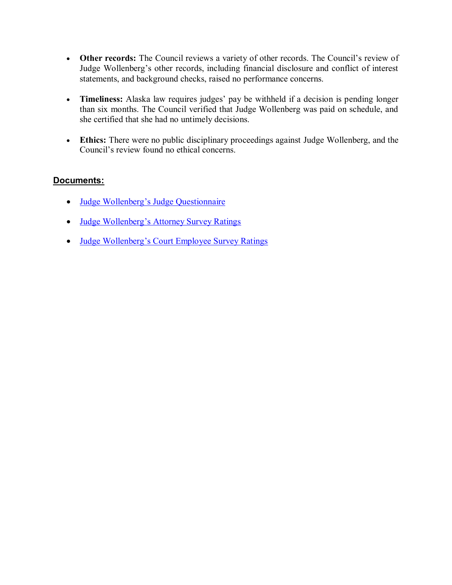- **Other records:** The Council reviews a variety of other records. The Council's review of Judge Wollenberg's other records, including financial disclosure and conflict of interest statements, and background checks, raised no performance concerns.
- **Timeliness:** Alaska law requires judges' pay be withheld if a decision is pending longer than six months. The Council verified that Judge Wollenberg was paid on schedule, and she certified that she had no untimely decisions.
- **Ethics:** There were no public disciplinary proceedings against Judge Wollenberg, and the Council's review found no ethical concerns.

### **Documents:**

- Judge Wollenberg's [Judge Questionnaire](#page-2-0)
- Judge Wollenberg's [Attorney Survey Ratings](#page-9-0)
- Judge Wollenberg's [Court Employee Survey Ratings](#page-11-0)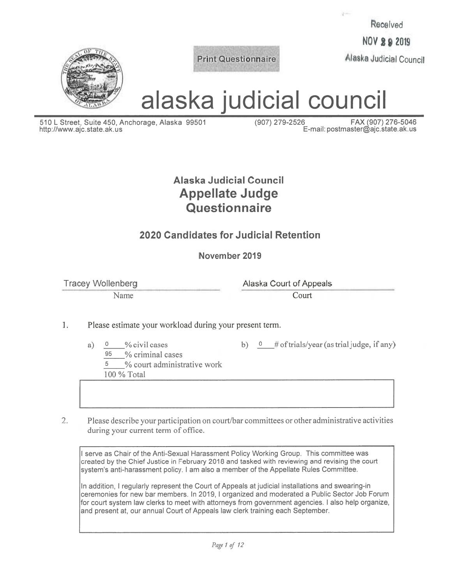Received

**NOV 2 9 2019** 

Alaska Judicial Council



**Print Questionnaire** 

alaska judicial council

510 L Street, Suite 450, Anchorage, Alaska 99501 http://www.ajc.state.ak.us

(907) 279-2526 FAX (907) 276-5046 E-mail: postmaster@ajc.state.ak.us

# Alaska Judicial Council **Appellate Judge** Questionnaire

## 2020 Candidates for Judicial Retention

November 2019

**Tracey Wollenberg** 

Name

Alaska Court of Appeals

Court

- 1. Please estimate your workload during your present term.
	- $\mathbf{0}$ % civil cases a)
		- 95 % criminal cases
		- 5 % court administrative work

100 % Total

b)  $\theta$  # of trials/year (as trial judge, if any)

 $2.$ Please describe your participation on court/bar committees or other administrative activities during your current term of office.

I serve as Chair of the Anti-Sexual Harassment Policy Working Group. This committee was created by the Chief Justice in February 2018 and tasked with reviewing and revising the court system's anti-harassment policy. I am also a member of the Appellate Rules Committee.

In addition, I regularly represent the Court of Appeals at judicial installations and swearing-in ceremonies for new bar members. In 2019, I organized and moderated a Public Sector Job Forum for court system law clerks to meet with attorneys from government agencies. I also help organize, and present at, our annual Court of Appeals law clerk training each September.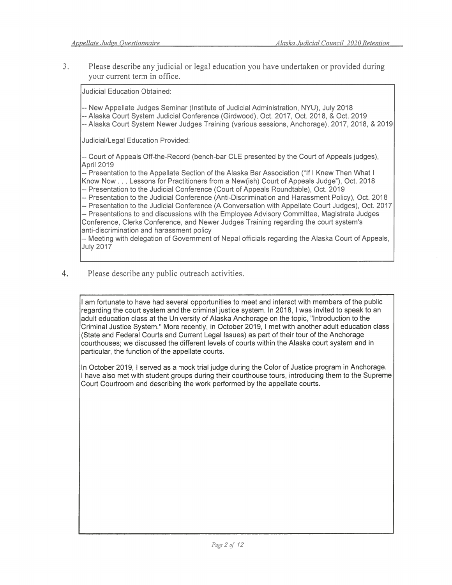$\overline{3}$ . Please describe any judicial or legal education you have undertaken or provided during your current term in office.

**Judicial Education Obtained:** 

-- New Appellate Judges Seminar (Institute of Judicial Administration, NYU), July 2018

- -- Alaska Court System Judicial Conference (Girdwood), Oct. 2017, Oct. 2018, & Oct. 2019
- -- Alaska Court System Newer Judges Training (various sessions, Anchorage), 2017, 2018, & 2019

Judicial/Legal Education Provided:

-- Court of Appeals Off-the-Record (bench-bar CLE presented by the Court of Appeals judges), April 2019

-- Presentation to the Appellate Section of the Alaska Bar Association ("If I Knew Then What I Know Now . . . Lessons for Practitioners from a New(ish) Court of Appeals Judge"), Oct. 2018 -- Presentation to the Judicial Conference (Court of Appeals Roundtable), Oct. 2019

-- Presentation to the Judicial Conference (Anti-Discrimination and Harassment Policy), Oct. 2018

-- Presentation to the Judicial Conference (A Conversation with Appellate Court Judges), Oct. 2017

-- Presentations to and discussions with the Employee Advisory Committee, Magistrate Judges Conference, Clerks Conference, and Newer Judges Training regarding the court system's anti-discrimination and harassment policy

-- Meeting with delegation of Government of Nepal officials regarding the Alaska Court of Appeals, **July 2017** 

 $4.$ Please describe any public outreach activities.

> I am fortunate to have had several opportunities to meet and interact with members of the public regarding the court system and the criminal justice system. In 2018, I was invited to speak to an adult education class at the University of Alaska Anchorage on the topic. "Introduction to the Criminal Justice System." More recently, in October 2019, I met with another adult education class (State and Federal Courts and Current Legal Issues) as part of their tour of the Anchorage courthouses; we discussed the different levels of courts within the Alaska court system and in particular, the function of the appellate courts.

> In October 2019, I served as a mock trial judge during the Color of Justice program in Anchorage. I have also met with student groups during their courthouse tours, introducing them to the Supreme Court Courtroom and describing the work performed by the appellate courts.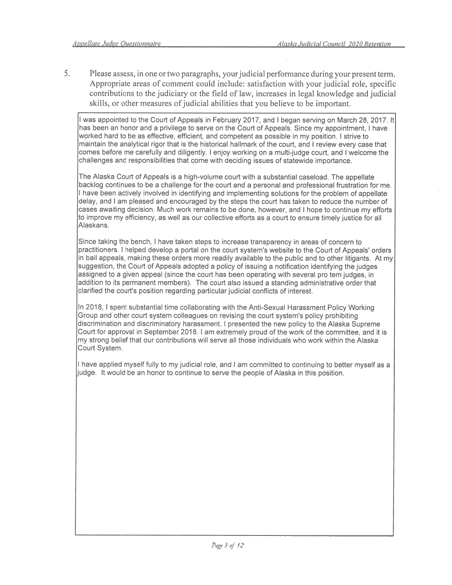$5<sub>1</sub>$ Please assess, in one or two paragraphs, your judicial performance during your present term. Appropriate areas of comment could include: satisfaction with your judicial role, specific contributions to the judiciary or the field of law, increases in legal knowledge and judicial skills, or other measures of judicial abilities that you believe to be important.

I was appointed to the Court of Appeals in February 2017, and I began serving on March 28, 2017, It has been an honor and a privilege to serve on the Court of Appeals. Since my appointment, I have worked hard to be as effective, efficient, and competent as possible in my position. I strive to maintain the analytical rigor that is the historical hallmark of the court, and I review every case that comes before me carefully and diligently. I enjoy working on a multi-judge court, and I welcome the challenges and responsibilities that come with deciding issues of statewide importance.

The Alaska Court of Appeals is a high-volume court with a substantial caseload. The appellate backlog continues to be a challenge for the court and a personal and professional frustration for me. I have been actively involved in identifying and implementing solutions for the problem of appellate delay, and I am pleased and encouraged by the steps the court has taken to reduce the number of cases awaiting decision. Much work remains to be done, however, and I hope to continue my efforts to improve my efficiency, as well as our collective efforts as a court to ensure timely justice for all Alaskans.

Since taking the bench, I have taken steps to increase transparency in areas of concern to practitioners. I helped develop a portal on the court system's website to the Court of Appeals' orders in bail appeals, making these orders more readily available to the public and to other litigants. At my suggestion, the Court of Appeals adopted a policy of issuing a notification identifying the judges assigned to a given appeal (since the court has been operating with several pro tem judges, in addition to its permanent members). The court also issued a standing administrative order that clarified the court's position regarding particular judicial conflicts of interest.

In 2018, I spent substantial time collaborating with the Anti-Sexual Harassment Policy Working Group and other court system colleagues on revising the court system's policy prohibiting discrimination and discriminatory harassment. I presented the new policy to the Alaska Supreme Court for approval in September 2018. I am extremely proud of the work of the committee, and it is my strong belief that our contributions will serve all those individuals who work within the Alaska Court System.

I have applied myself fully to my judicial role, and I am committed to continuing to better myself as a judge. It would be an honor to continue to serve the people of Alaska in this position.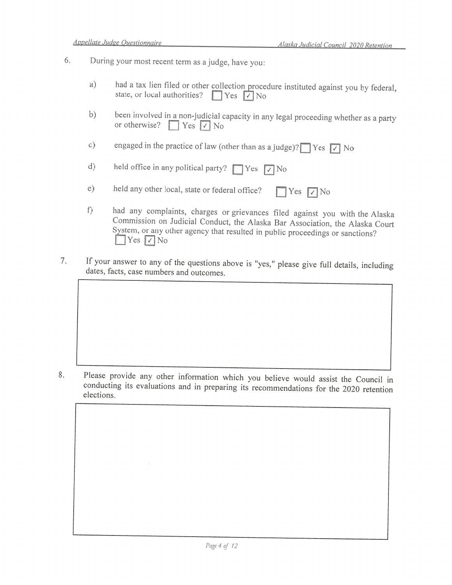- 6. During your most recent term as a judge, have you:
	- had a tax lien filed or other collection procedure instituted against you by federal, a) state, or local authorities?  $\Box$  Yes  $\Box$  No
	- $b)$ been involved in a non-judicial capacity in any legal proceeding whether as a party or otherwise?  $Yes$   $\vee$  No
	- engaged in the practice of law (other than as a judge)?  $\sqrt{\phantom{a}}$  Yes  $\sqrt{\phantom{a}}$  No  $c)$

held office in any political party?  $\Box$  Yes  $\Box$  No  $d)$ 

- $e)$ held any other local, state or federal office?  $\Box$  Yes  $\Box$  No
- had any complaints, charges or grievances filed against you with the Alaska  $f$ ) Commission on Judicial Conduct, the Alaska Bar Association, the Alaska Court System, or any other agency that resulted in public proceedings or sanctions? Yes  $\nabla$  No
- If your answer to any of the questions above is "yes," please give full details, including 7. dates, facts, case numbers and outcomes.

8. Please provide any other information which you believe would assist the Council in conducting its evaluations and in preparing its recommendations for the 2020 retention elections.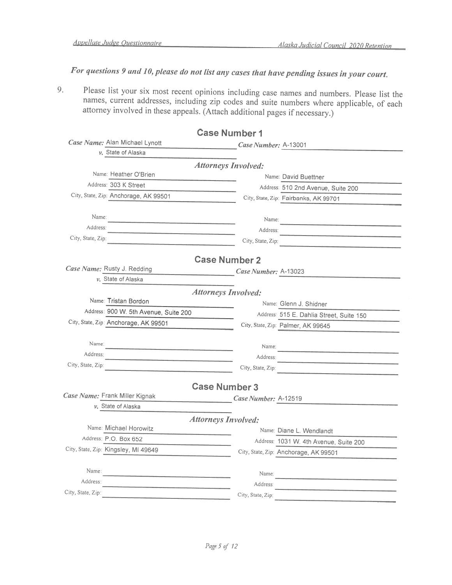For questions 9 and 10, please do not list any cases that have pending issues in your court.

Please list your six most recent opinions including case names and numbers. Please list the 9. names, current addresses, including zip codes and suite numbers where applicable, of each attorney involved in these appeals. (Attach additional pages if necessary.)

| <b>Case Number 1</b>                                                                                                                      |                      |                                                         |
|-------------------------------------------------------------------------------------------------------------------------------------------|----------------------|---------------------------------------------------------|
| Case Name: Alan Michael Lynott                                                                                                            | Case Number: A-13001 |                                                         |
| v. State of Alaska                                                                                                                        |                      |                                                         |
| <b>Attorneys Involved:</b>                                                                                                                |                      |                                                         |
| Name: Heather O'Brien                                                                                                                     |                      | Name: David Buettner                                    |
| Address: 303 K Street                                                                                                                     |                      | Address: 510 2nd Avenue, Suite 200                      |
| City, State, Zip: Anchorage, AK 99501                                                                                                     |                      | City, State, Zip: Fairbanks, AK 99701                   |
| Name:                                                                                                                                     |                      |                                                         |
| Address:                                                                                                                                  | Name:                |                                                         |
| City, State, Zip:                                                                                                                         | Address:             |                                                         |
| <u> 1989 - Andrea Andrew Maria (h. 1989).</u>                                                                                             | City, State, Zip:    | <u> 1980 - John Barnett, fransk politiker (d. 1980)</u> |
| <b>Case Number 2</b>                                                                                                                      |                      |                                                         |
| Case Name: Rusty J. Redding                                                                                                               | Case Number: A-13023 |                                                         |
| v. State of Alaska                                                                                                                        |                      |                                                         |
| <b>Attorneys Involved:</b>                                                                                                                |                      |                                                         |
| Name: Tristan Bordon                                                                                                                      |                      | Name: Glenn J. Shidner                                  |
| Address: 900 W. 5th Avenue, Suite 200                                                                                                     |                      | Address: 515 E. Dahlia Street, Suite 150                |
| City, State, Zip: Anchorage, AK 99501                                                                                                     |                      | City, State, Zip: Palmer, AK 99645                      |
| Name:                                                                                                                                     |                      |                                                         |
| Address:                                                                                                                                  | Name:                |                                                         |
| City, State, Zip:                                                                                                                         | Address:             |                                                         |
|                                                                                                                                           | City, State, Zip:    |                                                         |
| <b>Case Number 3</b>                                                                                                                      |                      |                                                         |
| Case Name: Frank Miller Kignak                                                                                                            | Case Number: A-12519 |                                                         |
| v. State of Alaska                                                                                                                        |                      |                                                         |
| <b>Attorneys Involved:</b>                                                                                                                |                      |                                                         |
| Name: Michael Horowitz                                                                                                                    |                      | Name: Diane L. Wendlandt                                |
| Address: P.O. Box 652                                                                                                                     |                      | Address: 1031 W. 4th Avenue, Suite 200                  |
| City, State, Zip: Kingsley, MI 49649                                                                                                      |                      | City, State, Zip: Anchorage, AK 99501                   |
| Name:                                                                                                                                     |                      |                                                         |
| Address:                                                                                                                                  | Name:                |                                                         |
| <u> 1980 - Jan Barnett, mars eta bat erroman erroman erroman erroman erroman erroman erroman erroman erroman err</u><br>City, State, Zip: | Address:             |                                                         |
|                                                                                                                                           | City, State, Zip:    |                                                         |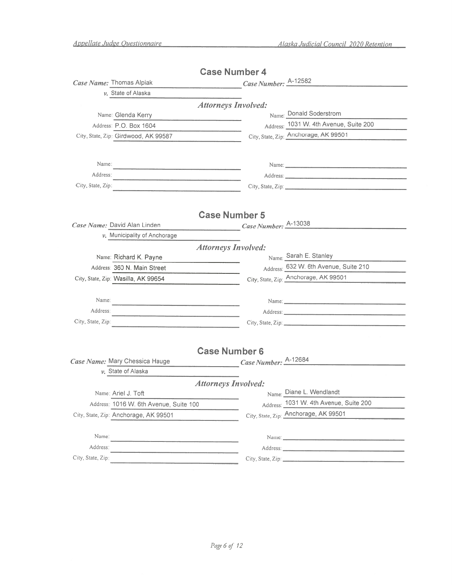|                                                                                                                                    | <b>Case Number 4</b>       |                                                                                                                |
|------------------------------------------------------------------------------------------------------------------------------------|----------------------------|----------------------------------------------------------------------------------------------------------------|
| Case Name: Thomas Alpiak                                                                                                           | Case Number: A-12582       |                                                                                                                |
| $\nu$ . State of Alaska                                                                                                            |                            |                                                                                                                |
|                                                                                                                                    | <b>Attorneys Involved:</b> |                                                                                                                |
| Name: Glenda Kerry                                                                                                                 |                            | Name: Donald Soderstrom                                                                                        |
| Address: P.O. Box 1604                                                                                                             |                            | Address: 1031 W. 4th Avenue, Suite 200                                                                         |
| City, State, Zip: Girdwood, AK 99587                                                                                               |                            | City, State, Zip: Anchorage, AK 99501                                                                          |
|                                                                                                                                    |                            |                                                                                                                |
| Name:                                                                                                                              |                            |                                                                                                                |
| Address:                                                                                                                           |                            | Address:                                                                                                       |
| City, State, Zip:                                                                                                                  |                            | City, State, Zip: 2008. Experience of the State of Table 2014.                                                 |
|                                                                                                                                    |                            |                                                                                                                |
|                                                                                                                                    |                            |                                                                                                                |
|                                                                                                                                    | <b>Case Number 5</b>       |                                                                                                                |
| Case Name: David Alan Linden                                                                                                       | Case Number: A-13038       |                                                                                                                |
| $\nu$ . Municipality of Anchorage                                                                                                  |                            |                                                                                                                |
|                                                                                                                                    | <b>Attorneys Involved:</b> |                                                                                                                |
| Name: Richard K. Payne                                                                                                             |                            | Name: Sarah E. Stanley                                                                                         |
| Address: 360 N. Main Street                                                                                                        |                            | Address: 632 W. 6th Avenue, Suite 210                                                                          |
| City, State, Zip: Wasilla, AK 99654                                                                                                |                            | City, State, Zip: Anchorage, AK 99501                                                                          |
|                                                                                                                                    |                            |                                                                                                                |
| Name:                                                                                                                              |                            | Name:                                                                                                          |
| Address:<br><u> 1989 - Johann John Stone, mars et al. 1989 - John Stone, mars et al. 1989 - John Stone, mars et al. 1989 - Joh</u> |                            |                                                                                                                |
| City, State, Zip:<br>the contract of the contract of the contract of the contract of the contract of                               |                            |                                                                                                                |
|                                                                                                                                    |                            |                                                                                                                |
|                                                                                                                                    | <b>Case Number 6</b>       |                                                                                                                |
| Case Name: Mary Chessica Hauge                                                                                                     | Case Number: A-12684       |                                                                                                                |
| $\nu$ . State of Alaska                                                                                                            |                            |                                                                                                                |
|                                                                                                                                    | <b>Attorneys Involved:</b> |                                                                                                                |
| Name: Ariel J. Toft                                                                                                                |                            | Name: Diane L. Wendlandt                                                                                       |
| Address: 1016 W. 6th Avenue, Suite 100                                                                                             |                            | Address: 1031 W. 4th Avenue, Suite 200                                                                         |
| City, State, Zip: Anchorage, AK 99501                                                                                              |                            | City, State, Zip: Anchorage, AK 99501                                                                          |
|                                                                                                                                    |                            |                                                                                                                |
| Name:                                                                                                                              |                            | Name: 2008. 2008. 2009. 2010. 2010. 2010. 2010. 2010. 2010. 2010. 2010. 2010. 2010. 2010. 2010. 2010. 2010. 20 |
| Address:                                                                                                                           |                            |                                                                                                                |
| City, State, Zip:                                                                                                                  |                            | City, State, Zip:                                                                                              |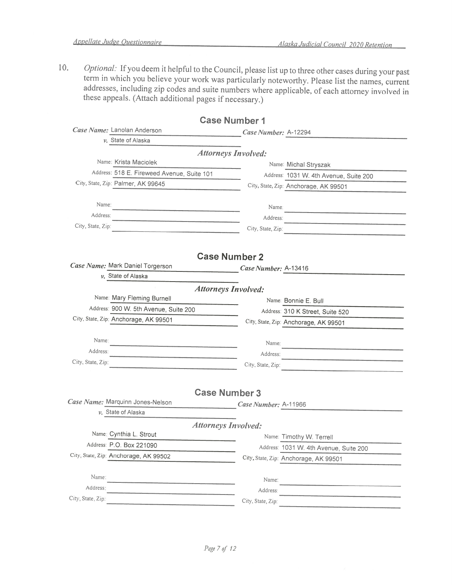$10.$ Optional: If you deem it helpful to the Council, please list up to three other cases during your past term in which you believe your work was particularly noteworthy. Please list the names, current addresses, including zip codes and suite numbers where applicable, of each attorney involved in these appeals. (Attach additional pages if necessary.)

|                                                         | <b>Case Number 1</b>       |                                                    |
|---------------------------------------------------------|----------------------------|----------------------------------------------------|
| Case Name: Lanolan Anderson                             | Case Number: A-12294       |                                                    |
| $\nu$ . State of Alaska                                 |                            |                                                    |
|                                                         | <b>Attorneys Involved:</b> |                                                    |
| Name: Krista Maciolek                                   |                            | Name: Michal Stryszak                              |
| Address: 518 E. Fireweed Avenue, Suite 101              |                            | Address: 1031 W. 4th Avenue, Suite 200             |
| City, State, Zip: Palmer, AK 99645                      |                            | City, State, Zip: Anchorage, AK 99501              |
|                                                         |                            |                                                    |
| Name:                                                   | Name:                      |                                                    |
| Address:                                                | Address:                   | <u> 1980 - Johann Stein, mark et al. (b. 1980)</u> |
| City, State, Zip:<br><u> Antonio Alemania (m. 1954)</u> | City, State, Zip:          |                                                    |
|                                                         |                            |                                                    |
|                                                         | <b>Case Number 2</b>       |                                                    |
| Case Name: Mark Daniel Torgerson                        |                            |                                                    |
| $\nu$ . State of Alaska                                 | Case Number: A-13416       |                                                    |
|                                                         | <b>Attorneys Involved:</b> |                                                    |
| Name: Mary Fleming Burnell                              |                            |                                                    |
| Address: 900 W. 5th Avenue, Suite 200                   |                            | Name: Bonnie E. Bull                               |
| City, State, Zip; Anchorage, AK 99501                   |                            | Address: 310 K Street, Suite 520                   |
|                                                         |                            | City, State, Zip: Anchorage, AK 99501              |
| Name:                                                   | Name:                      |                                                    |
| Address:                                                | Address:                   |                                                    |
| City, State, Zip:                                       |                            |                                                    |
|                                                         |                            | City, State, Zip:                                  |
|                                                         |                            |                                                    |
|                                                         | <b>Case Number 3</b>       |                                                    |
| Case Name: Marquinn Jones-Nelson                        | Case Number: A-11966       |                                                    |
| $\nu$ . State of Alaska                                 |                            |                                                    |
|                                                         | <b>Attorneys Involved:</b> |                                                    |
| Name: Cynthia L. Strout                                 |                            | Name: Timothy W. Terrell                           |
| Address: P.O. Box 221090                                |                            | Address: 1031 W. 4th Avenue, Suite 200             |
| City, State, Zip: Anchorage, AK 99502                   |                            | City, State, Zip: Anchorage, AK 99501              |
|                                                         |                            |                                                    |
| Name:                                                   | Name:                      |                                                    |
| Address:                                                | Address:                   |                                                    |
| City, State, Zip:                                       | City, State, Zip:          |                                                    |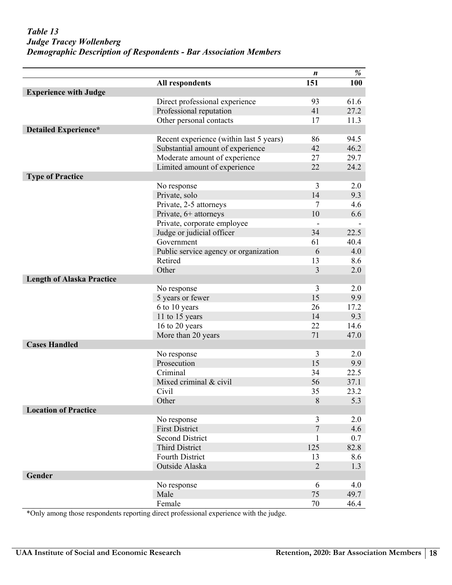### <span id="page-9-0"></span>*Table 13: Judge Tracey Wollenberg: Demographic Description of Respondents Judge Tracey Wollenberg Demographic Description of Respondents - Bar Association Members*

|                                  |                                         | n              | %       |
|----------------------------------|-----------------------------------------|----------------|---------|
|                                  | <b>All respondents</b>                  | 151            | 100     |
| <b>Experience with Judge</b>     |                                         |                |         |
|                                  | Direct professional experience          | 93             | 61.6    |
|                                  | Professional reputation                 | 41             | 27.2    |
|                                  | Other personal contacts                 | 17             | 11.3    |
| <b>Detailed Experience*</b>      |                                         |                |         |
|                                  | Recent experience (within last 5 years) | 86             | 94.5    |
|                                  | Substantial amount of experience        | 42             | 46.2    |
|                                  | Moderate amount of experience           | 27             | 29.7    |
|                                  | Limited amount of experience            | 22             | 24.2    |
| <b>Type of Practice</b>          |                                         |                |         |
|                                  | No response                             | 3              | 2.0     |
|                                  | Private, solo                           | 14             | 9.3     |
|                                  | Private, 2-5 attorneys                  | 7              | 4.6     |
|                                  | Private, 6+ attorneys                   | 10             | 6.6     |
|                                  | Private, corporate employee             |                |         |
|                                  | Judge or judicial officer               | 34             | 22.5    |
|                                  | Government                              | 61             | 40.4    |
|                                  | Public service agency or organization   | 6              | 4.0     |
|                                  | Retired                                 | 13             | 8.6     |
|                                  | Other                                   | $\overline{3}$ | 2.0     |
| <b>Length of Alaska Practice</b> |                                         |                |         |
|                                  | No response                             | 3              | 2.0     |
|                                  | 5 years or fewer                        | 15             | 9.9     |
|                                  | 6 to 10 years                           | 26             | 17.2    |
|                                  | 11 to 15 years                          | 14             | 9.3     |
|                                  | 16 to 20 years                          | 22             | 14.6    |
|                                  | More than 20 years                      | 71             | 47.0    |
| <b>Cases Handled</b>             |                                         |                |         |
|                                  | No response                             | 3              | 2.0     |
|                                  | Prosecution                             | 15             | 9.9     |
|                                  | Criminal                                | 34             | 22.5    |
|                                  | Mixed criminal & civil                  | 56             | 37.1    |
|                                  | Civil                                   | 35             | 23.2    |
|                                  | Other                                   | 8              | 5.3     |
| <b>Location of Practice</b>      |                                         |                |         |
|                                  | No response                             | 3              | 2.0     |
|                                  | <b>First District</b>                   | $\overline{7}$ | 4.6     |
|                                  | <b>Second District</b>                  | 1              | $0.7\,$ |
|                                  | <b>Third District</b>                   | 125            | 82.8    |
|                                  | Fourth District                         | 13             | 8.6     |
|                                  | Outside Alaska                          | $\overline{2}$ | 1.3     |
| Gender                           |                                         |                |         |
|                                  | No response                             | 6              | 4.0     |
|                                  | Male                                    | 75             | 49.7    |
|                                  | Female                                  | $70\,$         | 46.4    |

\*Only among those respondents reporting direct professional experience with the judge.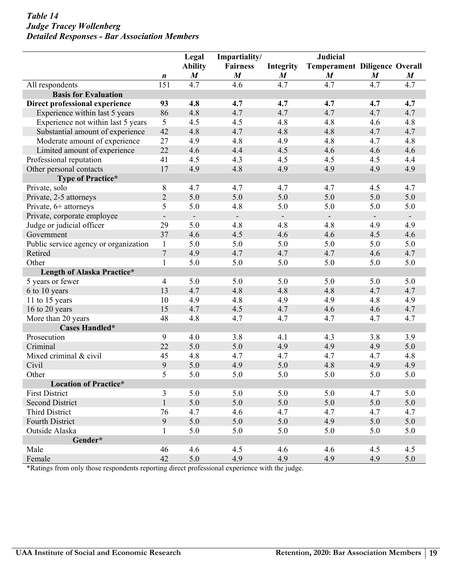### $Table 14$ *Judge Tracey Wollenberg Detailed Responses - Bar Association Members*

|                                       |                          | Legal                    | Impartiality/            |                              | <b>Judicial</b>          |                                      |                  |  |
|---------------------------------------|--------------------------|--------------------------|--------------------------|------------------------------|--------------------------|--------------------------------------|------------------|--|
|                                       |                          | <b>Ability</b>           |                          | <b>Fairness</b><br>Integrity |                          | <b>Temperament Diligence Overall</b> |                  |  |
|                                       | n                        | $\boldsymbol{M}$         | $\boldsymbol{M}$         | $\boldsymbol{M}$             | $\boldsymbol{M}$         | $\boldsymbol{M}$                     | $\boldsymbol{M}$ |  |
| All respondents                       | 151                      | 4.7                      | 4.6                      | 4.7                          | 4.7                      | 4.7                                  | 4.7              |  |
| <b>Basis for Evaluation</b>           |                          |                          |                          |                              |                          |                                      |                  |  |
| Direct professional experience        | 93                       | 4.8                      | 4.7                      | 4.7                          | 4.7                      | 4.7                                  | 4.7              |  |
| Experience within last 5 years        | 86                       | 4.8                      | 4.7                      | 4.7                          | 4.7                      | 4.7                                  | 4.7              |  |
| Experience not within last 5 years    | 5                        | 4.5                      | 4.5                      | 4.8                          | 4.8                      | 4.6                                  | 4.8              |  |
| Substantial amount of experience      | 42                       | 4.8                      | 4.7                      | 4.8                          | 4.8                      | 4.7                                  | 4.7              |  |
| Moderate amount of experience         | 27                       | 4.9                      | 4.8                      | 4.9                          | 4.8                      | 4.7                                  | 4.8              |  |
| Limited amount of experience          | 22                       | 4.6                      | 4.4                      | 4.5                          | 4.6                      | 4.6                                  | 4.6              |  |
| Professional reputation               | 41                       | 4.5                      | 4.3                      | 4.5                          | 4.5                      | 4.5                                  | 4.4              |  |
| Other personal contacts               | 17                       | 4.9                      | 4.8                      | 4.9                          | 4.9                      | 4.9                                  | 4.9              |  |
| Type of Practice*                     |                          |                          |                          |                              |                          |                                      |                  |  |
| Private, solo                         | $8\,$                    | 4.7                      | 4.7                      | 4.7                          | 4.7                      | 4.5                                  | 4.7              |  |
| Private, 2-5 attorneys                | $\sqrt{2}$               | 5.0                      | 5.0                      | 5.0                          | 5.0                      | 5.0                                  | 5.0              |  |
| Private, 6+ attorneys                 | 5                        | 5.0                      | 4.8                      | 5.0                          | 5.0                      | 5.0                                  | 5.0              |  |
| Private, corporate employee           | $\overline{\phantom{a}}$ | $\overline{\phantom{a}}$ | $\overline{\phantom{a}}$ | $\overline{\phantom{a}}$     | $\overline{\phantom{a}}$ | $\overline{\phantom{a}}$             | $\sim$           |  |
| Judge or judicial officer             | 29                       | 5.0                      | 4.8                      | 4.8                          | 4.8                      | 4.9                                  | 4.9              |  |
| Government                            | 37                       | 4.6                      | 4.5                      | 4.6                          | 4.6                      | 4.5                                  | 4.6              |  |
| Public service agency or organization | $\mathbf{1}$             | 5.0                      | 5.0                      | 5.0                          | 5.0                      | 5.0                                  | 5.0              |  |
| Retired                               | $\boldsymbol{7}$         | 4.9                      | 4.7                      | 4.7                          | 4.7                      | 4.6                                  | 4.7              |  |
| Other                                 | $\mathbf{1}$             | 5.0                      | 5.0                      | 5.0                          | 5.0                      | 5.0                                  | 5.0              |  |
| Length of Alaska Practice*            |                          |                          |                          |                              |                          |                                      |                  |  |
| 5 years or fewer                      | $\overline{4}$           | 5.0                      | 5.0                      | 5.0                          | 5.0                      | 5.0                                  | 5.0              |  |
| 6 to 10 years                         | 13                       | 4.7                      | 4.8                      | 4.8                          | 4.8                      | 4.7                                  | 4.7              |  |
| 11 to 15 years                        | 10                       | 4.9                      | 4.8                      | 4.9                          | 4.9                      | 4.8                                  | 4.9              |  |
| 16 to 20 years                        | 15                       | 4.7                      | 4.5                      | 4.7                          | 4.6                      | 4.6                                  | 4.7              |  |
| More than 20 years                    | 48                       | 4.8                      | 4.7                      | 4.7                          | 4.7                      | 4.7                                  | 4.7              |  |
| Cases Handled*                        |                          |                          |                          |                              |                          |                                      |                  |  |
| Prosecution                           | 9                        | 4.0                      | 3.8                      | 4.1                          | 4.3                      | 3.8                                  | 3.9              |  |
| Criminal                              | 22                       | 5.0                      | 5.0                      | 4.9                          | 4.9                      | 4.9                                  | 5.0              |  |
| Mixed criminal & civil                | 45                       | 4.8                      | 4.7                      | 4.7                          | 4.7                      | 4.7                                  | 4.8              |  |
| Civil                                 | 9                        | 5.0                      | 4.9                      | 5.0                          | 4.8                      | 4.9                                  | 4.9              |  |
| Other                                 | 5                        | 5.0                      | 5.0                      | 5.0                          | 5.0                      | 5.0                                  | 5.0              |  |
| <b>Location of Practice*</b>          |                          |                          |                          |                              |                          |                                      |                  |  |
| <b>First District</b>                 | 3                        | 5.0                      | 5.0                      | 5.0                          | 5.0                      | 4.7                                  | 5.0              |  |
| <b>Second District</b>                | $\mathbf{1}$             | 5.0                      | 5.0                      | 5.0                          | 5.0                      | 5.0                                  | 5.0              |  |
| Third District                        | 76                       | 4.7                      | 4.6                      | 4.7                          | 4.7                      | 4.7                                  | 4.7              |  |
| Fourth District                       | 9                        | 5.0                      | 5.0                      | 5.0                          | 4.9                      | 5.0                                  | 5.0              |  |
| Outside Alaska                        | $\mathbf{1}$             | 5.0                      | 5.0                      | 5.0                          | 5.0                      | 5.0                                  | 5.0              |  |
| Gender*                               |                          |                          |                          |                              |                          |                                      |                  |  |
| Male                                  | 46                       | 4.6                      | 4.5                      | 4.6                          | 4.6                      | 4.5                                  | 4.5              |  |
| Female                                | 42                       | 5.0                      | 4.9                      | 4.9                          | 4.9                      | 4.9                                  | 5.0              |  |

\*Ratings from only those respondents reporting direct professional experience with the judge.